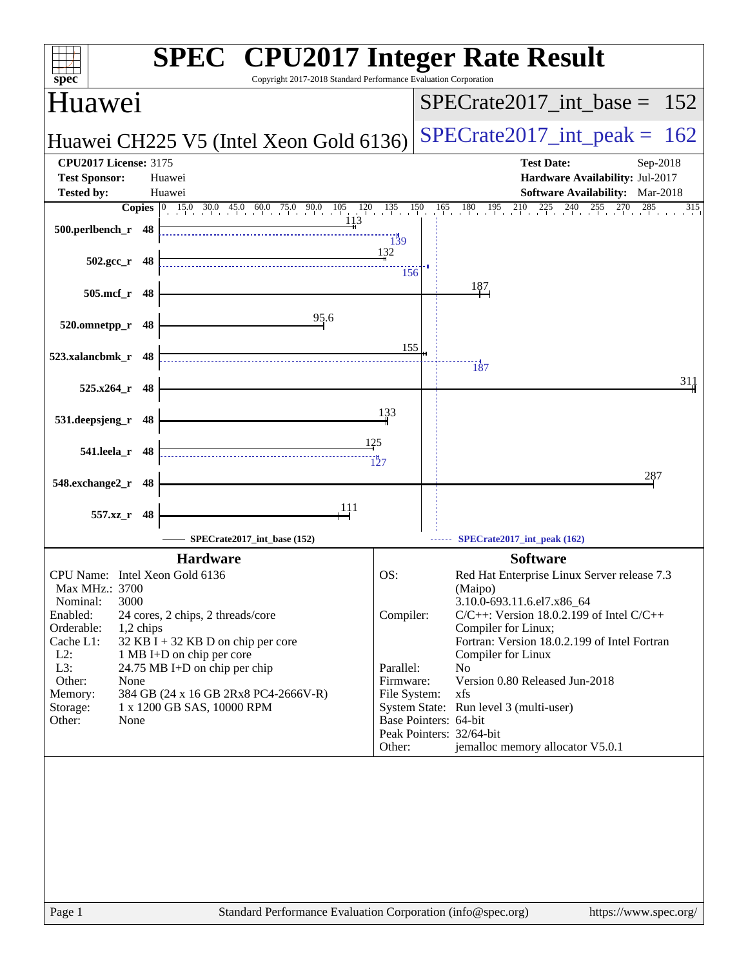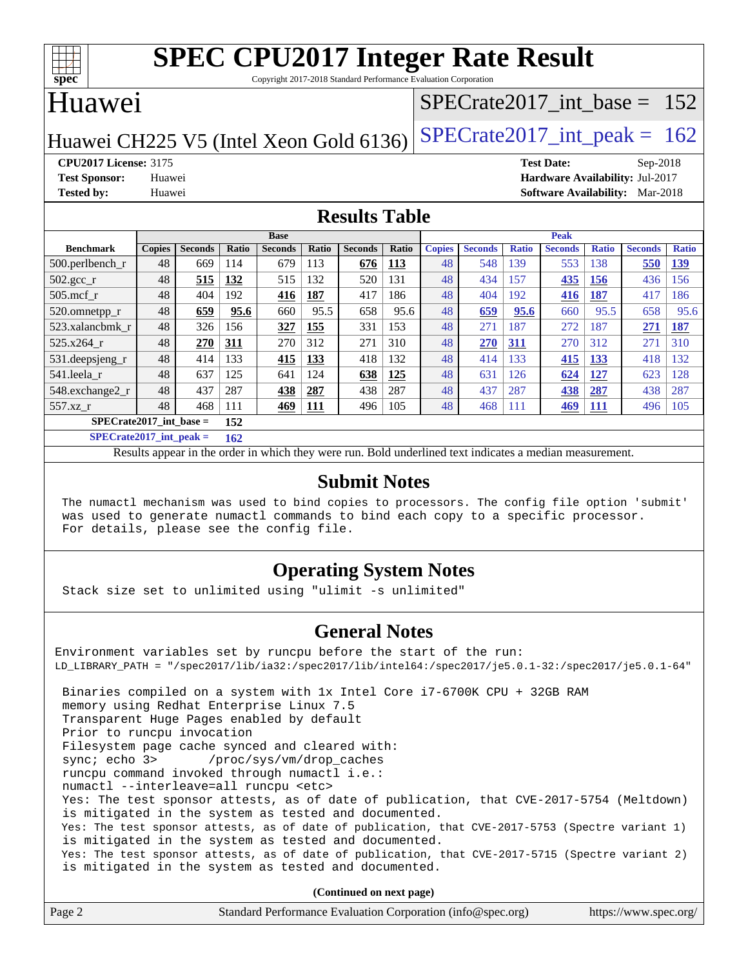

Copyright 2017-2018 Standard Performance Evaluation Corporation

## Huawei

## [SPECrate2017\\_int\\_base =](http://www.spec.org/auto/cpu2017/Docs/result-fields.html#SPECrate2017intbase) 152

Huawei CH225 V5 (Intel Xeon Gold 6136) SPECrate  $2017$ \_int\_peak = 162

**[CPU2017 License:](http://www.spec.org/auto/cpu2017/Docs/result-fields.html#CPU2017License)** 3175 **[Test Date:](http://www.spec.org/auto/cpu2017/Docs/result-fields.html#TestDate)** Sep-2018 **[Test Sponsor:](http://www.spec.org/auto/cpu2017/Docs/result-fields.html#TestSponsor)** Huawei **[Hardware Availability:](http://www.spec.org/auto/cpu2017/Docs/result-fields.html#HardwareAvailability)** Jul-2017 **[Tested by:](http://www.spec.org/auto/cpu2017/Docs/result-fields.html#Testedby)** Huawei **[Software Availability:](http://www.spec.org/auto/cpu2017/Docs/result-fields.html#SoftwareAvailability)** Mar-2018

### **[Results Table](http://www.spec.org/auto/cpu2017/Docs/result-fields.html#ResultsTable)**

|                           | <b>Base</b>   |                |       |                | <b>Peak</b>  |                |       |               |                |              |                |              |                |              |
|---------------------------|---------------|----------------|-------|----------------|--------------|----------------|-------|---------------|----------------|--------------|----------------|--------------|----------------|--------------|
| <b>Benchmark</b>          | <b>Copies</b> | <b>Seconds</b> | Ratio | <b>Seconds</b> | <b>Ratio</b> | <b>Seconds</b> | Ratio | <b>Copies</b> | <b>Seconds</b> | <b>Ratio</b> | <b>Seconds</b> | <b>Ratio</b> | <b>Seconds</b> | <b>Ratio</b> |
| 500.perlbench_r           | 48            | 669            | 114   | 679            | 113          | 676            | 113   | 48            | 548            | 139          | 553            | 138          | 550            | <u>139</u>   |
| $502.\text{gcc}_{r}$      | 48            | 515            | 132   | 515            | 132          | 520            | 131   | 48            | 434            | 157          | 435            | 156          | 436            | 56           |
| $505$ .mcf r              | 48            | 404            | 192   | 416            | 187          | 417            | 186   | 48            | 404            | 192          | 416            | 187          | 417            | 186          |
| 520.omnetpp_r             | 48            | 659            | 95.6  | 660            | 95.5         | 658            | 95.6  | 48            | 659            | 95.6         | 660            | 95.5         | 658            | 95.6         |
| 523.xalancbmk r           | 48            | 326            | 156   | 327            | 155          | 331            | 153   | 48            | 271            | 187          | 272            | 187          | 271            | 187          |
| $525.x264$ r              | 48            | 270            | 311   | 270            | 312          | 271            | 310   | 48            | 270            | 311          | 270            | 312          | 271            | 310          |
| 531.deepsjeng_r           | 48            | 414            | 133   | 415            | 133          | 418            | 132   | 48            | 414            | 133          | 415            | 133          | 418            | 132          |
| 541.leela r               | 48            | 637            | 125   | 641            | 124          | 638            | 125   | 48            | 631            | 126          | 624            | 127          | 623            | 128          |
| 548.exchange2_r           | 48            | 437            | 287   | 438            | 287          | 438            | 287   | 48            | 437            | 287          | 438            | 287          | 438            | 287          |
| $557.xz$ r                | 48            | 468            | 111   | 469            | 111          | 496            | 105   | 48            | 468            | 111          | 469            | <b>111</b>   | 496            | 105          |
| $SPECrate2017$ int base = |               | 152            |       |                |              |                |       |               |                |              |                |              |                |              |

**[SPECrate2017\\_int\\_peak =](http://www.spec.org/auto/cpu2017/Docs/result-fields.html#SPECrate2017intpeak) 162**

Results appear in the [order in which they were run.](http://www.spec.org/auto/cpu2017/Docs/result-fields.html#RunOrder) Bold underlined text [indicates a median measurement.](http://www.spec.org/auto/cpu2017/Docs/result-fields.html#Median)

#### **[Submit Notes](http://www.spec.org/auto/cpu2017/Docs/result-fields.html#SubmitNotes)**

 The numactl mechanism was used to bind copies to processors. The config file option 'submit' was used to generate numactl commands to bind each copy to a specific processor. For details, please see the config file.

### **[Operating System Notes](http://www.spec.org/auto/cpu2017/Docs/result-fields.html#OperatingSystemNotes)**

Stack size set to unlimited using "ulimit -s unlimited"

### **[General Notes](http://www.spec.org/auto/cpu2017/Docs/result-fields.html#GeneralNotes)**

Environment variables set by runcpu before the start of the run: LD\_LIBRARY\_PATH = "/spec2017/lib/ia32:/spec2017/lib/intel64:/spec2017/je5.0.1-32:/spec2017/je5.0.1-64" Binaries compiled on a system with 1x Intel Core i7-6700K CPU + 32GB RAM memory using Redhat Enterprise Linux 7.5 Transparent Huge Pages enabled by default Prior to runcpu invocation Filesystem page cache synced and cleared with: sync; echo 3> /proc/sys/vm/drop\_caches runcpu command invoked through numactl i.e.: numactl --interleave=all runcpu <etc> Yes: The test sponsor attests, as of date of publication, that CVE-2017-5754 (Meltdown) is mitigated in the system as tested and documented. Yes: The test sponsor attests, as of date of publication, that CVE-2017-5753 (Spectre variant 1) is mitigated in the system as tested and documented. Yes: The test sponsor attests, as of date of publication, that CVE-2017-5715 (Spectre variant 2) is mitigated in the system as tested and documented.

**(Continued on next page)**

| Page 2 | Standard Performance Evaluation Corporation (info@spec.org) | https://www.spec.org/ |
|--------|-------------------------------------------------------------|-----------------------|
|--------|-------------------------------------------------------------|-----------------------|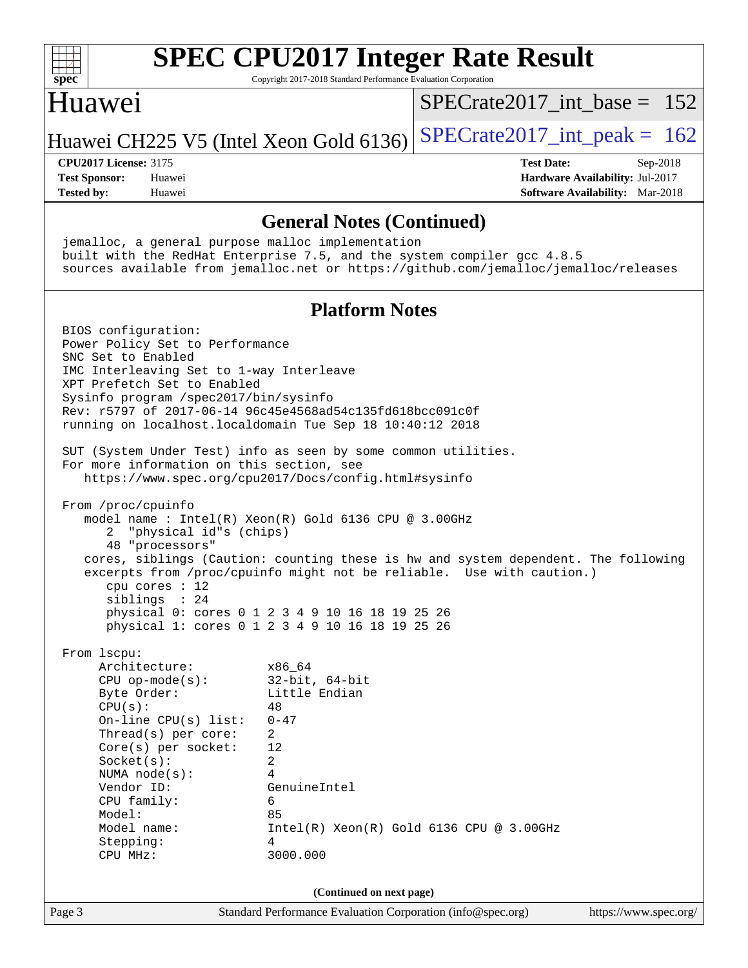

Copyright 2017-2018 Standard Performance Evaluation Corporation

## Huawei

[SPECrate2017\\_int\\_base =](http://www.spec.org/auto/cpu2017/Docs/result-fields.html#SPECrate2017intbase) 152

Huawei CH225 V5 (Intel Xeon Gold 6136) SPECrate  $2017$ \_int\_peak = 162

**[Tested by:](http://www.spec.org/auto/cpu2017/Docs/result-fields.html#Testedby)** Huawei **[Software Availability:](http://www.spec.org/auto/cpu2017/Docs/result-fields.html#SoftwareAvailability)** Mar-2018

**[CPU2017 License:](http://www.spec.org/auto/cpu2017/Docs/result-fields.html#CPU2017License)** 3175 **[Test Date:](http://www.spec.org/auto/cpu2017/Docs/result-fields.html#TestDate)** Sep-2018 **[Test Sponsor:](http://www.spec.org/auto/cpu2017/Docs/result-fields.html#TestSponsor)** Huawei **[Hardware Availability:](http://www.spec.org/auto/cpu2017/Docs/result-fields.html#HardwareAvailability)** Jul-2017

### **[General Notes \(Continued\)](http://www.spec.org/auto/cpu2017/Docs/result-fields.html#GeneralNotes)**

 jemalloc, a general purpose malloc implementation built with the RedHat Enterprise 7.5, and the system compiler gcc 4.8.5 sources available from jemalloc.net or <https://github.com/jemalloc/jemalloc/releases> **[Platform Notes](http://www.spec.org/auto/cpu2017/Docs/result-fields.html#PlatformNotes)** BIOS configuration: Power Policy Set to Performance SNC Set to Enabled IMC Interleaving Set to 1-way Interleave XPT Prefetch Set to Enabled Sysinfo program /spec2017/bin/sysinfo Rev: r5797 of 2017-06-14 96c45e4568ad54c135fd618bcc091c0f running on localhost.localdomain Tue Sep 18 10:40:12 2018 SUT (System Under Test) info as seen by some common utilities. For more information on this section, see <https://www.spec.org/cpu2017/Docs/config.html#sysinfo> From /proc/cpuinfo model name : Intel(R) Xeon(R) Gold 6136 CPU @ 3.00GHz 2 "physical id"s (chips) 48 "processors" cores, siblings (Caution: counting these is hw and system dependent. The following excerpts from /proc/cpuinfo might not be reliable. Use with caution.) cpu cores : 12 siblings : 24 physical 0: cores 0 1 2 3 4 9 10 16 18 19 25 26 physical 1: cores 0 1 2 3 4 9 10 16 18 19 25 26 From lscpu: Architecture: x86\_64 CPU op-mode(s): 32-bit, 64-bit Byte Order: Little Endian  $CPU(s):$  48 On-line CPU(s) list: 0-47 Thread(s) per core: 2 Core(s) per socket: 12 Socket(s): 2 NUMA node(s): 4 Vendor ID: GenuineIntel CPU family: 6 Model: 85 Model name: Intel(R) Xeon(R) Gold 6136 CPU @ 3.00GHz Stepping: 4 CPU MHz: 3000.000 **(Continued on next page)**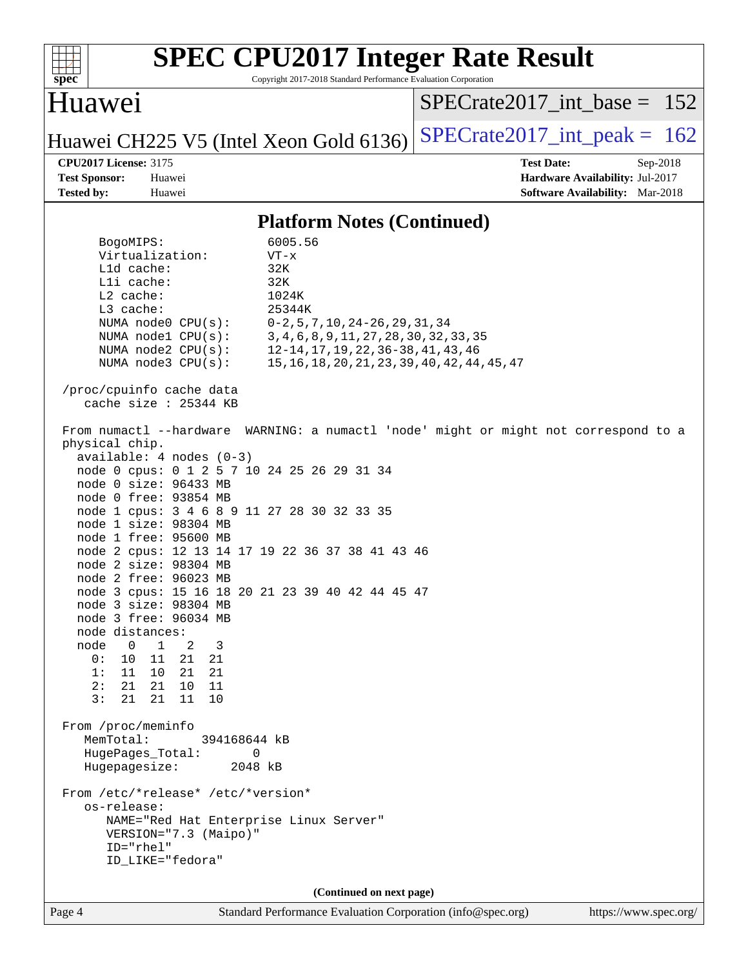| spec                                                                                                                                                                                                                                          |                                                                                                                                                                                                                                                                                                                                                                                                                                                                                                                                                                                                                                                                       | Copyright 2017-2018 Standard Performance Evaluation Corporation                                                                                                                                                                                                                                                                                                                                                                                                                              | <b>SPEC CPU2017 Integer Rate Result</b>                                                                      |
|-----------------------------------------------------------------------------------------------------------------------------------------------------------------------------------------------------------------------------------------------|-----------------------------------------------------------------------------------------------------------------------------------------------------------------------------------------------------------------------------------------------------------------------------------------------------------------------------------------------------------------------------------------------------------------------------------------------------------------------------------------------------------------------------------------------------------------------------------------------------------------------------------------------------------------------|----------------------------------------------------------------------------------------------------------------------------------------------------------------------------------------------------------------------------------------------------------------------------------------------------------------------------------------------------------------------------------------------------------------------------------------------------------------------------------------------|--------------------------------------------------------------------------------------------------------------|
| Huawei                                                                                                                                                                                                                                        |                                                                                                                                                                                                                                                                                                                                                                                                                                                                                                                                                                                                                                                                       |                                                                                                                                                                                                                                                                                                                                                                                                                                                                                              | $SPECrate2017$ int base = 152                                                                                |
|                                                                                                                                                                                                                                               |                                                                                                                                                                                                                                                                                                                                                                                                                                                                                                                                                                                                                                                                       | Huawei CH225 V5 (Intel Xeon Gold 6136)                                                                                                                                                                                                                                                                                                                                                                                                                                                       | $SPECrate2017\_int\_peak = 162$                                                                              |
| <b>CPU2017 License: 3175</b><br><b>Test Sponsor:</b><br><b>Tested by:</b>                                                                                                                                                                     | Huawei<br>Huawei                                                                                                                                                                                                                                                                                                                                                                                                                                                                                                                                                                                                                                                      |                                                                                                                                                                                                                                                                                                                                                                                                                                                                                              | <b>Test Date:</b><br>$Sep-2018$<br>Hardware Availability: Jul-2017<br><b>Software Availability:</b> Mar-2018 |
|                                                                                                                                                                                                                                               |                                                                                                                                                                                                                                                                                                                                                                                                                                                                                                                                                                                                                                                                       | <b>Platform Notes (Continued)</b>                                                                                                                                                                                                                                                                                                                                                                                                                                                            |                                                                                                              |
| BogoMIPS:<br>Lld cache:<br>Lli cache:<br>$L2$ cache:<br>L3 cache:<br>physical chip.<br>node distances:<br>node<br>$\Omega$<br>0:<br>10<br>1:<br>11<br>2:<br>21<br>3:<br>21<br>From /proc/meminfo<br>MemTotal:<br>Hugepagesize:<br>os-release: | Virtualization:<br>NUMA node0 CPU(s):<br>NUMA $node1$ $CPU(s):$<br>NUMA $node2$ $CPU(s):$<br>NUMA node3 CPU(s):<br>/proc/cpuinfo cache data<br>cache size : 25344 KB<br>From numactl --hardware<br>$available: 4 nodes (0-3)$<br>node 0 size: 96433 MB<br>node 0 free: 93854 MB<br>node 1 size: 98304 MB<br>node 1 free: 95600 MB<br>node 2 size: 98304 MB<br>node 2 free: 96023 MB<br>node 3 size: 98304 MB<br>node 3 free: 96034 MB<br>1<br>2<br>3<br>11<br>21<br>21<br>21<br>21<br>10<br>21<br>10<br>11<br>21<br>11<br>10<br>394168644 kB<br>HugePages_Total:<br>0<br>From /etc/*release* /etc/*version*<br>VERSION="7.3 (Maipo)"<br>ID="rhel"<br>ID_LIKE="fedora" | 6005.56<br>$VT - x$<br>32K<br>32K<br>1024K<br>25344K<br>$0-2, 5, 7, 10, 24-26, 29, 31, 34$<br>3, 4, 6, 8, 9, 11, 27, 28, 30, 32, 33, 35<br>12-14, 17, 19, 22, 36-38, 41, 43, 46<br>15, 16, 18, 20, 21, 23, 39, 40, 42, 44, 45, 47<br>node 0 cpus: 0 1 2 5 7 10 24 25 26 29 31 34<br>node 1 cpus: 3 4 6 8 9 11 27 28 30 32 33 35<br>node 2 cpus: 12 13 14 17 19 22 36 37 38 41 43 46<br>node 3 cpus: 15 16 18 20 21 23 39 40 42 44 45 47<br>2048 kB<br>NAME="Red Hat Enterprise Linux Server" | WARNING: a numactl 'node' might or might not correspond to a                                                 |
|                                                                                                                                                                                                                                               |                                                                                                                                                                                                                                                                                                                                                                                                                                                                                                                                                                                                                                                                       | (Continued on next page)                                                                                                                                                                                                                                                                                                                                                                                                                                                                     |                                                                                                              |

Page 4 Standard Performance Evaluation Corporation [\(info@spec.org\)](mailto:info@spec.org) <https://www.spec.org/>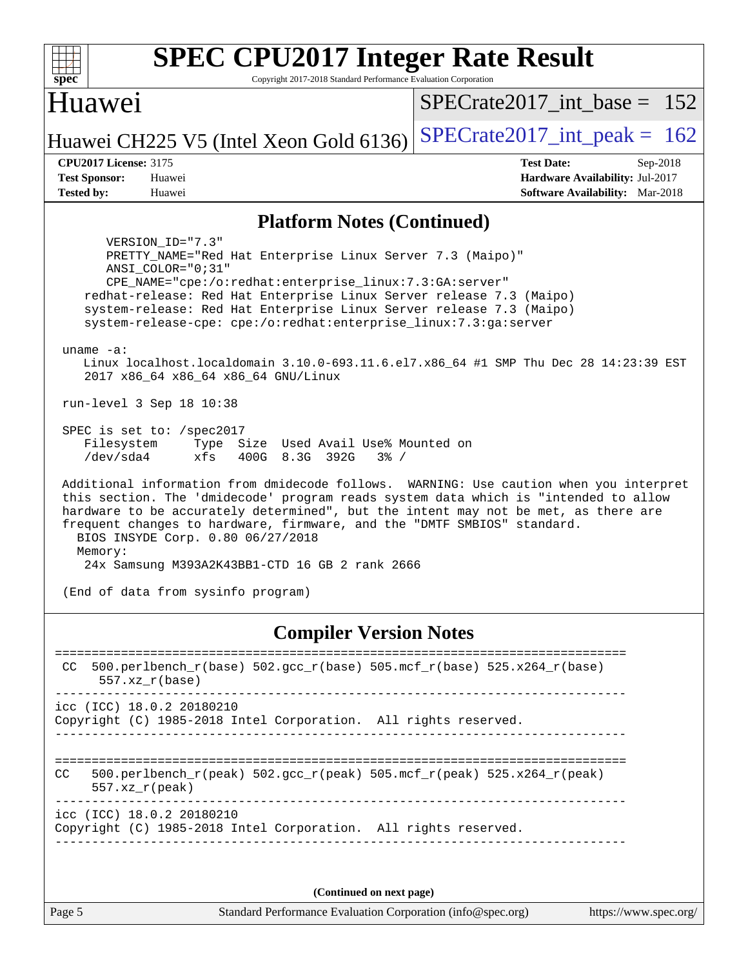| <b>SPEC CPU2017 Integer Rate Result</b>                                                                                                                                                                                                                                                                                                                                                                                                                                                  |                                        |
|------------------------------------------------------------------------------------------------------------------------------------------------------------------------------------------------------------------------------------------------------------------------------------------------------------------------------------------------------------------------------------------------------------------------------------------------------------------------------------------|----------------------------------------|
| $spec^*$<br>Copyright 2017-2018 Standard Performance Evaluation Corporation                                                                                                                                                                                                                                                                                                                                                                                                              |                                        |
| Huawei                                                                                                                                                                                                                                                                                                                                                                                                                                                                                   | $SPECrate2017\_int\_base = 152$        |
| Huawei CH225 V5 (Intel Xeon Gold 6136)                                                                                                                                                                                                                                                                                                                                                                                                                                                   | $SPECrate2017\_int\_peak = 162$        |
| <b>CPU2017 License: 3175</b>                                                                                                                                                                                                                                                                                                                                                                                                                                                             | <b>Test Date:</b><br>Sep-2018          |
| <b>Test Sponsor:</b><br>Huawei                                                                                                                                                                                                                                                                                                                                                                                                                                                           | Hardware Availability: Jul-2017        |
| <b>Tested by:</b><br>Huawei                                                                                                                                                                                                                                                                                                                                                                                                                                                              | <b>Software Availability:</b> Mar-2018 |
| <b>Platform Notes (Continued)</b>                                                                                                                                                                                                                                                                                                                                                                                                                                                        |                                        |
| VERSION ID="7.3"<br>PRETTY_NAME="Red Hat Enterprise Linux Server 7.3 (Maipo)"<br>ANSI COLOR="0;31"<br>CPE_NAME="cpe:/o:redhat:enterprise_linux:7.3:GA:server"<br>redhat-release: Red Hat Enterprise Linux Server release 7.3 (Maipo)<br>system-release: Red Hat Enterprise Linux Server release 7.3 (Maipo)<br>system-release-cpe: cpe:/o:redhat:enterprise_linux:7.3:ga:server<br>uname $-a$ :<br>Linux localhost.localdomain 3.10.0-693.11.6.el7.x86_64 #1 SMP Thu Dec 28 14:23:39 EST |                                        |
| 2017 x86_64 x86_64 x86_64 GNU/Linux<br>run-level 3 Sep 18 10:38                                                                                                                                                                                                                                                                                                                                                                                                                          |                                        |
| SPEC is set to: $/$ spec2017<br>Type Size Used Avail Use% Mounted on<br>Filesystem<br>/dev/sda4<br>xfs<br>400G 8.3G 392G<br>$3\frac{6}{9}$ /                                                                                                                                                                                                                                                                                                                                             |                                        |
| Additional information from dmidecode follows. WARNING: Use caution when you interpret<br>this section. The 'dmidecode' program reads system data which is "intended to allow<br>hardware to be accurately determined", but the intent may not be met, as there are<br>frequent changes to hardware, firmware, and the "DMTF SMBIOS" standard.<br>BIOS INSYDE Corp. 0.80 06/27/2018<br>Memory:<br>24x Samsung M393A2K43BB1-CTD 16 GB 2 rank 2666                                         |                                        |
| (End of data from sysinfo program)                                                                                                                                                                                                                                                                                                                                                                                                                                                       |                                        |
| <b>Compiler Version Notes</b>                                                                                                                                                                                                                                                                                                                                                                                                                                                            | =========================              |

CC  $500.perlbench_r(base) 502.gcc_r(base) 505.mef_r(base) 525.xA264_r(base)$  557.xz\_r(base) ----------------------------------------------------------------------------- icc (ICC) 18.0.2 20180210 Copyright (C) 1985-2018 Intel Corporation. All rights reserved. ------------------------------------------------------------------------------ ============================================================================== CC 500.perlbench\_r(peak)  $502.\text{sec}\xspace_r(\text{peak})$  505.mcf\_r(peak) 525.x264\_r(peak) 557.xz\_r(peak) ----------------------------------------------------------------------------- icc (ICC) 18.0.2 20180210 Copyright (C) 1985-2018 Intel Corporation. All rights reserved. ------------------------------------------------------------------------------

**(Continued on next page)**

Page 5 Standard Performance Evaluation Corporation [\(info@spec.org\)](mailto:info@spec.org) <https://www.spec.org/>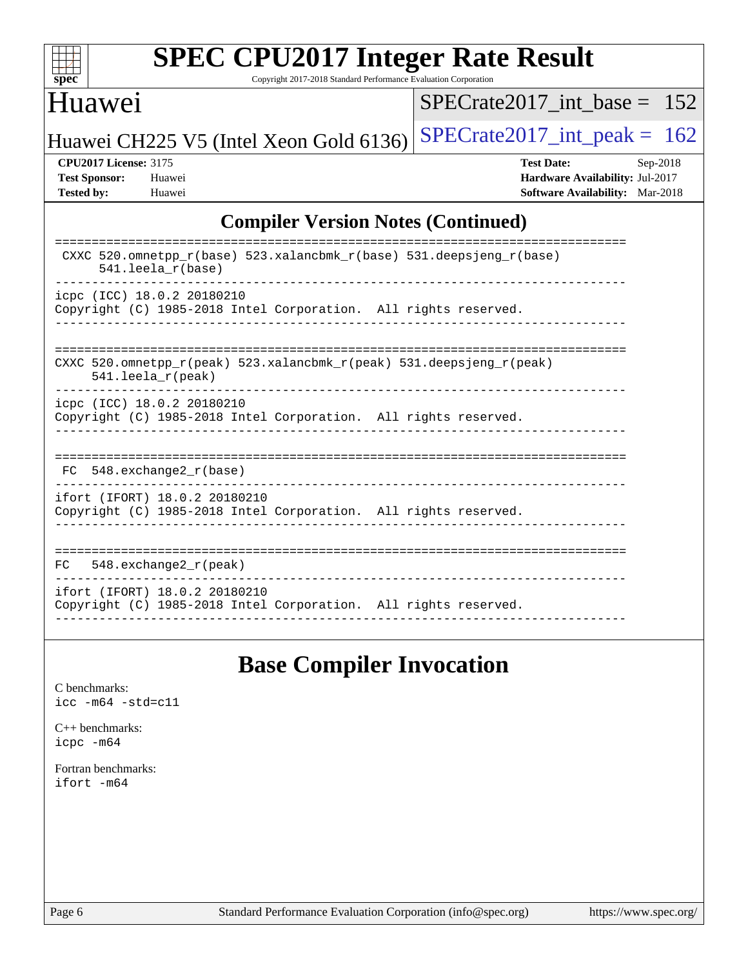

Copyright 2017-2018 Standard Performance Evaluation Corporation

## Huawei

[SPECrate2017\\_int\\_base =](http://www.spec.org/auto/cpu2017/Docs/result-fields.html#SPECrate2017intbase) 152

Huawei CH225 V5 (Intel Xeon Gold 6136) SPECrate  $2017$ \_int\_peak = 162

**[CPU2017 License:](http://www.spec.org/auto/cpu2017/Docs/result-fields.html#CPU2017License)** 3175 **[Test Date:](http://www.spec.org/auto/cpu2017/Docs/result-fields.html#TestDate)** Sep-2018 **[Test Sponsor:](http://www.spec.org/auto/cpu2017/Docs/result-fields.html#TestSponsor)** Huawei **[Hardware Availability:](http://www.spec.org/auto/cpu2017/Docs/result-fields.html#HardwareAvailability)** Jul-2017 **[Tested by:](http://www.spec.org/auto/cpu2017/Docs/result-fields.html#Testedby)** Huawei **[Software Availability:](http://www.spec.org/auto/cpu2017/Docs/result-fields.html#SoftwareAvailability)** Mar-2018

### **[Compiler Version Notes \(Continued\)](http://www.spec.org/auto/cpu2017/Docs/result-fields.html#CompilerVersionNotes)**

| CXXC 520.omnetpp $r(base)$ 523.xalancbmk $r(base)$ 531.deepsjeng $r(base)$<br>$541.$ leela $r(base)$ |
|------------------------------------------------------------------------------------------------------|
| icpc (ICC) 18.0.2 20180210                                                                           |
| Copyright (C) 1985-2018 Intel Corporation. All rights reserved.                                      |
|                                                                                                      |
|                                                                                                      |
| CXXC 520.omnetpp $r(\text{peak})$ 523.xalancbmk $r(\text{peak})$ 531.deepsjeng $r(\text{peak})$      |
| 541.leela_r(peak)                                                                                    |
|                                                                                                      |
| icpc (ICC) 18.0.2 20180210<br>Copyright (C) 1985-2018 Intel Corporation. All rights reserved.        |
|                                                                                                      |
|                                                                                                      |
|                                                                                                      |
| 548.exchange2 r(base)<br>FC.                                                                         |
| ifort (IFORT) 18.0.2 20180210                                                                        |
| Copyright (C) 1985-2018 Intel Corporation. All rights reserved.                                      |
|                                                                                                      |
|                                                                                                      |
| 548. $exchange2 r (peak)$<br>FC.                                                                     |
|                                                                                                      |
| ifort (IFORT) 18.0.2 20180210                                                                        |
| Copyright (C) 1985-2018 Intel Corporation. All rights reserved.                                      |
|                                                                                                      |

# **[Base Compiler Invocation](http://www.spec.org/auto/cpu2017/Docs/result-fields.html#BaseCompilerInvocation)**

[C benchmarks](http://www.spec.org/auto/cpu2017/Docs/result-fields.html#Cbenchmarks): [icc -m64 -std=c11](http://www.spec.org/cpu2017/results/res2018q4/cpu2017-20180920-08928.flags.html#user_CCbase_intel_icc_64bit_c11_33ee0cdaae7deeeab2a9725423ba97205ce30f63b9926c2519791662299b76a0318f32ddfffdc46587804de3178b4f9328c46fa7c2b0cd779d7a61945c91cd35)

[C++ benchmarks:](http://www.spec.org/auto/cpu2017/Docs/result-fields.html#CXXbenchmarks) [icpc -m64](http://www.spec.org/cpu2017/results/res2018q4/cpu2017-20180920-08928.flags.html#user_CXXbase_intel_icpc_64bit_4ecb2543ae3f1412ef961e0650ca070fec7b7afdcd6ed48761b84423119d1bf6bdf5cad15b44d48e7256388bc77273b966e5eb805aefd121eb22e9299b2ec9d9)

[Fortran benchmarks](http://www.spec.org/auto/cpu2017/Docs/result-fields.html#Fortranbenchmarks): [ifort -m64](http://www.spec.org/cpu2017/results/res2018q4/cpu2017-20180920-08928.flags.html#user_FCbase_intel_ifort_64bit_24f2bb282fbaeffd6157abe4f878425411749daecae9a33200eee2bee2fe76f3b89351d69a8130dd5949958ce389cf37ff59a95e7a40d588e8d3a57e0c3fd751)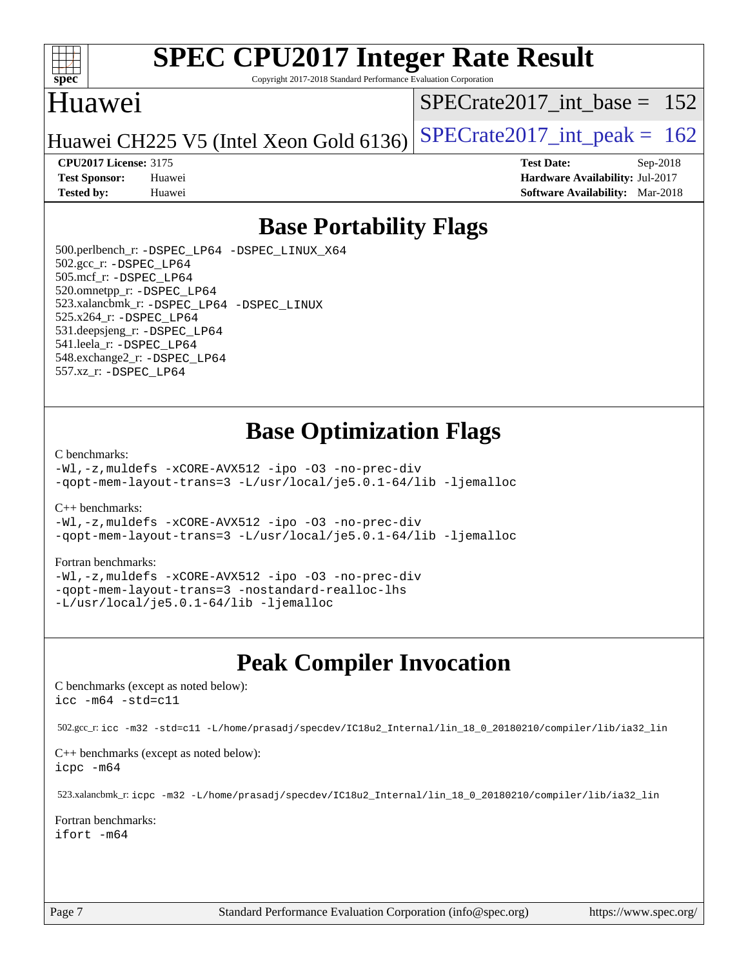

Copyright 2017-2018 Standard Performance Evaluation Corporation

## Huawei

[SPECrate2017\\_int\\_base =](http://www.spec.org/auto/cpu2017/Docs/result-fields.html#SPECrate2017intbase) 152

Huawei CH225 V5 (Intel Xeon Gold 6136) SPECrate  $2017$ \_int\_peak = 162

**[Test Sponsor:](http://www.spec.org/auto/cpu2017/Docs/result-fields.html#TestSponsor)** Huawei **[Hardware Availability:](http://www.spec.org/auto/cpu2017/Docs/result-fields.html#HardwareAvailability)** Jul-2017 **[Tested by:](http://www.spec.org/auto/cpu2017/Docs/result-fields.html#Testedby)** Huawei **[Software Availability:](http://www.spec.org/auto/cpu2017/Docs/result-fields.html#SoftwareAvailability)** Mar-2018

**[CPU2017 License:](http://www.spec.org/auto/cpu2017/Docs/result-fields.html#CPU2017License)** 3175 **[Test Date:](http://www.spec.org/auto/cpu2017/Docs/result-fields.html#TestDate)** Sep-2018

**[Base Portability Flags](http://www.spec.org/auto/cpu2017/Docs/result-fields.html#BasePortabilityFlags)**

 500.perlbench\_r: [-DSPEC\\_LP64](http://www.spec.org/cpu2017/results/res2018q4/cpu2017-20180920-08928.flags.html#b500.perlbench_r_basePORTABILITY_DSPEC_LP64) [-DSPEC\\_LINUX\\_X64](http://www.spec.org/cpu2017/results/res2018q4/cpu2017-20180920-08928.flags.html#b500.perlbench_r_baseCPORTABILITY_DSPEC_LINUX_X64) 502.gcc\_r: [-DSPEC\\_LP64](http://www.spec.org/cpu2017/results/res2018q4/cpu2017-20180920-08928.flags.html#suite_basePORTABILITY502_gcc_r_DSPEC_LP64) 505.mcf\_r: [-DSPEC\\_LP64](http://www.spec.org/cpu2017/results/res2018q4/cpu2017-20180920-08928.flags.html#suite_basePORTABILITY505_mcf_r_DSPEC_LP64) 520.omnetpp\_r: [-DSPEC\\_LP64](http://www.spec.org/cpu2017/results/res2018q4/cpu2017-20180920-08928.flags.html#suite_basePORTABILITY520_omnetpp_r_DSPEC_LP64) 523.xalancbmk\_r: [-DSPEC\\_LP64](http://www.spec.org/cpu2017/results/res2018q4/cpu2017-20180920-08928.flags.html#suite_basePORTABILITY523_xalancbmk_r_DSPEC_LP64) [-DSPEC\\_LINUX](http://www.spec.org/cpu2017/results/res2018q4/cpu2017-20180920-08928.flags.html#b523.xalancbmk_r_baseCXXPORTABILITY_DSPEC_LINUX) 525.x264\_r: [-DSPEC\\_LP64](http://www.spec.org/cpu2017/results/res2018q4/cpu2017-20180920-08928.flags.html#suite_basePORTABILITY525_x264_r_DSPEC_LP64) 531.deepsjeng\_r: [-DSPEC\\_LP64](http://www.spec.org/cpu2017/results/res2018q4/cpu2017-20180920-08928.flags.html#suite_basePORTABILITY531_deepsjeng_r_DSPEC_LP64) 541.leela\_r: [-DSPEC\\_LP64](http://www.spec.org/cpu2017/results/res2018q4/cpu2017-20180920-08928.flags.html#suite_basePORTABILITY541_leela_r_DSPEC_LP64) 548.exchange2\_r: [-DSPEC\\_LP64](http://www.spec.org/cpu2017/results/res2018q4/cpu2017-20180920-08928.flags.html#suite_basePORTABILITY548_exchange2_r_DSPEC_LP64) 557.xz\_r: [-DSPEC\\_LP64](http://www.spec.org/cpu2017/results/res2018q4/cpu2017-20180920-08928.flags.html#suite_basePORTABILITY557_xz_r_DSPEC_LP64)

# **[Base Optimization Flags](http://www.spec.org/auto/cpu2017/Docs/result-fields.html#BaseOptimizationFlags)**

#### [C benchmarks](http://www.spec.org/auto/cpu2017/Docs/result-fields.html#Cbenchmarks):

[-Wl,-z,muldefs](http://www.spec.org/cpu2017/results/res2018q4/cpu2017-20180920-08928.flags.html#user_CCbase_link_force_multiple1_b4cbdb97b34bdee9ceefcfe54f4c8ea74255f0b02a4b23e853cdb0e18eb4525ac79b5a88067c842dd0ee6996c24547a27a4b99331201badda8798ef8a743f577) [-xCORE-AVX512](http://www.spec.org/cpu2017/results/res2018q4/cpu2017-20180920-08928.flags.html#user_CCbase_f-xCORE-AVX512) [-ipo](http://www.spec.org/cpu2017/results/res2018q4/cpu2017-20180920-08928.flags.html#user_CCbase_f-ipo) [-O3](http://www.spec.org/cpu2017/results/res2018q4/cpu2017-20180920-08928.flags.html#user_CCbase_f-O3) [-no-prec-div](http://www.spec.org/cpu2017/results/res2018q4/cpu2017-20180920-08928.flags.html#user_CCbase_f-no-prec-div) [-qopt-mem-layout-trans=3](http://www.spec.org/cpu2017/results/res2018q4/cpu2017-20180920-08928.flags.html#user_CCbase_f-qopt-mem-layout-trans_de80db37974c74b1f0e20d883f0b675c88c3b01e9d123adea9b28688d64333345fb62bc4a798493513fdb68f60282f9a726aa07f478b2f7113531aecce732043) [-L/usr/local/je5.0.1-64/lib](http://www.spec.org/cpu2017/results/res2018q4/cpu2017-20180920-08928.flags.html#user_CCbase_jemalloc_link_path64_4b10a636b7bce113509b17f3bd0d6226c5fb2346b9178c2d0232c14f04ab830f976640479e5c33dc2bcbbdad86ecfb6634cbbd4418746f06f368b512fced5394) [-ljemalloc](http://www.spec.org/cpu2017/results/res2018q4/cpu2017-20180920-08928.flags.html#user_CCbase_jemalloc_link_lib_d1249b907c500fa1c0672f44f562e3d0f79738ae9e3c4a9c376d49f265a04b9c99b167ecedbf6711b3085be911c67ff61f150a17b3472be731631ba4d0471706)

[C++ benchmarks:](http://www.spec.org/auto/cpu2017/Docs/result-fields.html#CXXbenchmarks)

[-Wl,-z,muldefs](http://www.spec.org/cpu2017/results/res2018q4/cpu2017-20180920-08928.flags.html#user_CXXbase_link_force_multiple1_b4cbdb97b34bdee9ceefcfe54f4c8ea74255f0b02a4b23e853cdb0e18eb4525ac79b5a88067c842dd0ee6996c24547a27a4b99331201badda8798ef8a743f577) [-xCORE-AVX512](http://www.spec.org/cpu2017/results/res2018q4/cpu2017-20180920-08928.flags.html#user_CXXbase_f-xCORE-AVX512) [-ipo](http://www.spec.org/cpu2017/results/res2018q4/cpu2017-20180920-08928.flags.html#user_CXXbase_f-ipo) [-O3](http://www.spec.org/cpu2017/results/res2018q4/cpu2017-20180920-08928.flags.html#user_CXXbase_f-O3) [-no-prec-div](http://www.spec.org/cpu2017/results/res2018q4/cpu2017-20180920-08928.flags.html#user_CXXbase_f-no-prec-div) [-qopt-mem-layout-trans=3](http://www.spec.org/cpu2017/results/res2018q4/cpu2017-20180920-08928.flags.html#user_CXXbase_f-qopt-mem-layout-trans_de80db37974c74b1f0e20d883f0b675c88c3b01e9d123adea9b28688d64333345fb62bc4a798493513fdb68f60282f9a726aa07f478b2f7113531aecce732043) [-L/usr/local/je5.0.1-64/lib](http://www.spec.org/cpu2017/results/res2018q4/cpu2017-20180920-08928.flags.html#user_CXXbase_jemalloc_link_path64_4b10a636b7bce113509b17f3bd0d6226c5fb2346b9178c2d0232c14f04ab830f976640479e5c33dc2bcbbdad86ecfb6634cbbd4418746f06f368b512fced5394) [-ljemalloc](http://www.spec.org/cpu2017/results/res2018q4/cpu2017-20180920-08928.flags.html#user_CXXbase_jemalloc_link_lib_d1249b907c500fa1c0672f44f562e3d0f79738ae9e3c4a9c376d49f265a04b9c99b167ecedbf6711b3085be911c67ff61f150a17b3472be731631ba4d0471706)

#### [Fortran benchmarks](http://www.spec.org/auto/cpu2017/Docs/result-fields.html#Fortranbenchmarks):

[-Wl,-z,muldefs](http://www.spec.org/cpu2017/results/res2018q4/cpu2017-20180920-08928.flags.html#user_FCbase_link_force_multiple1_b4cbdb97b34bdee9ceefcfe54f4c8ea74255f0b02a4b23e853cdb0e18eb4525ac79b5a88067c842dd0ee6996c24547a27a4b99331201badda8798ef8a743f577) [-xCORE-AVX512](http://www.spec.org/cpu2017/results/res2018q4/cpu2017-20180920-08928.flags.html#user_FCbase_f-xCORE-AVX512) [-ipo](http://www.spec.org/cpu2017/results/res2018q4/cpu2017-20180920-08928.flags.html#user_FCbase_f-ipo) [-O3](http://www.spec.org/cpu2017/results/res2018q4/cpu2017-20180920-08928.flags.html#user_FCbase_f-O3) [-no-prec-div](http://www.spec.org/cpu2017/results/res2018q4/cpu2017-20180920-08928.flags.html#user_FCbase_f-no-prec-div) [-qopt-mem-layout-trans=3](http://www.spec.org/cpu2017/results/res2018q4/cpu2017-20180920-08928.flags.html#user_FCbase_f-qopt-mem-layout-trans_de80db37974c74b1f0e20d883f0b675c88c3b01e9d123adea9b28688d64333345fb62bc4a798493513fdb68f60282f9a726aa07f478b2f7113531aecce732043) [-nostandard-realloc-lhs](http://www.spec.org/cpu2017/results/res2018q4/cpu2017-20180920-08928.flags.html#user_FCbase_f_2003_std_realloc_82b4557e90729c0f113870c07e44d33d6f5a304b4f63d4c15d2d0f1fab99f5daaed73bdb9275d9ae411527f28b936061aa8b9c8f2d63842963b95c9dd6426b8a) [-L/usr/local/je5.0.1-64/lib](http://www.spec.org/cpu2017/results/res2018q4/cpu2017-20180920-08928.flags.html#user_FCbase_jemalloc_link_path64_4b10a636b7bce113509b17f3bd0d6226c5fb2346b9178c2d0232c14f04ab830f976640479e5c33dc2bcbbdad86ecfb6634cbbd4418746f06f368b512fced5394) [-ljemalloc](http://www.spec.org/cpu2017/results/res2018q4/cpu2017-20180920-08928.flags.html#user_FCbase_jemalloc_link_lib_d1249b907c500fa1c0672f44f562e3d0f79738ae9e3c4a9c376d49f265a04b9c99b167ecedbf6711b3085be911c67ff61f150a17b3472be731631ba4d0471706)

# **[Peak Compiler Invocation](http://www.spec.org/auto/cpu2017/Docs/result-fields.html#PeakCompilerInvocation)**

[C benchmarks \(except as noted below\)](http://www.spec.org/auto/cpu2017/Docs/result-fields.html#Cbenchmarksexceptasnotedbelow): [icc -m64 -std=c11](http://www.spec.org/cpu2017/results/res2018q4/cpu2017-20180920-08928.flags.html#user_CCpeak_intel_icc_64bit_c11_33ee0cdaae7deeeab2a9725423ba97205ce30f63b9926c2519791662299b76a0318f32ddfffdc46587804de3178b4f9328c46fa7c2b0cd779d7a61945c91cd35)

502.gcc\_r: [icc -m32 -std=c11 -L/home/prasadj/specdev/IC18u2\\_Internal/lin\\_18\\_0\\_20180210/compiler/lib/ia32\\_lin](http://www.spec.org/cpu2017/results/res2018q4/cpu2017-20180920-08928.flags.html#user_peakCCLD502_gcc_r_intel_icc_a481ac844e7127046fad14d498c730a1848fa901fbbb2c3dfdd5e9fbbac777c8009953946d55d8b6afe8ed0da70dd2b4f8dedbdf7ab1ee211ba70d24a5d89f85)

[C++ benchmarks \(except as noted below\):](http://www.spec.org/auto/cpu2017/Docs/result-fields.html#CXXbenchmarksexceptasnotedbelow) [icpc -m64](http://www.spec.org/cpu2017/results/res2018q4/cpu2017-20180920-08928.flags.html#user_CXXpeak_intel_icpc_64bit_4ecb2543ae3f1412ef961e0650ca070fec7b7afdcd6ed48761b84423119d1bf6bdf5cad15b44d48e7256388bc77273b966e5eb805aefd121eb22e9299b2ec9d9)

523.xalancbmk\_r: [icpc -m32 -L/home/prasadj/specdev/IC18u2\\_Internal/lin\\_18\\_0\\_20180210/compiler/lib/ia32\\_lin](http://www.spec.org/cpu2017/results/res2018q4/cpu2017-20180920-08928.flags.html#user_peakCXXLD523_xalancbmk_r_intel_icpc_c6d030cd79af6ea7d6fb64c57e8fe7ae8fe0b96fc5a3b3f4a10e3273b3d7fa9decd8263f6330cef23f751cb093a69fae84a2bf4c243500a8eed069248128076f)

[Fortran benchmarks](http://www.spec.org/auto/cpu2017/Docs/result-fields.html#Fortranbenchmarks): [ifort -m64](http://www.spec.org/cpu2017/results/res2018q4/cpu2017-20180920-08928.flags.html#user_FCpeak_intel_ifort_64bit_24f2bb282fbaeffd6157abe4f878425411749daecae9a33200eee2bee2fe76f3b89351d69a8130dd5949958ce389cf37ff59a95e7a40d588e8d3a57e0c3fd751)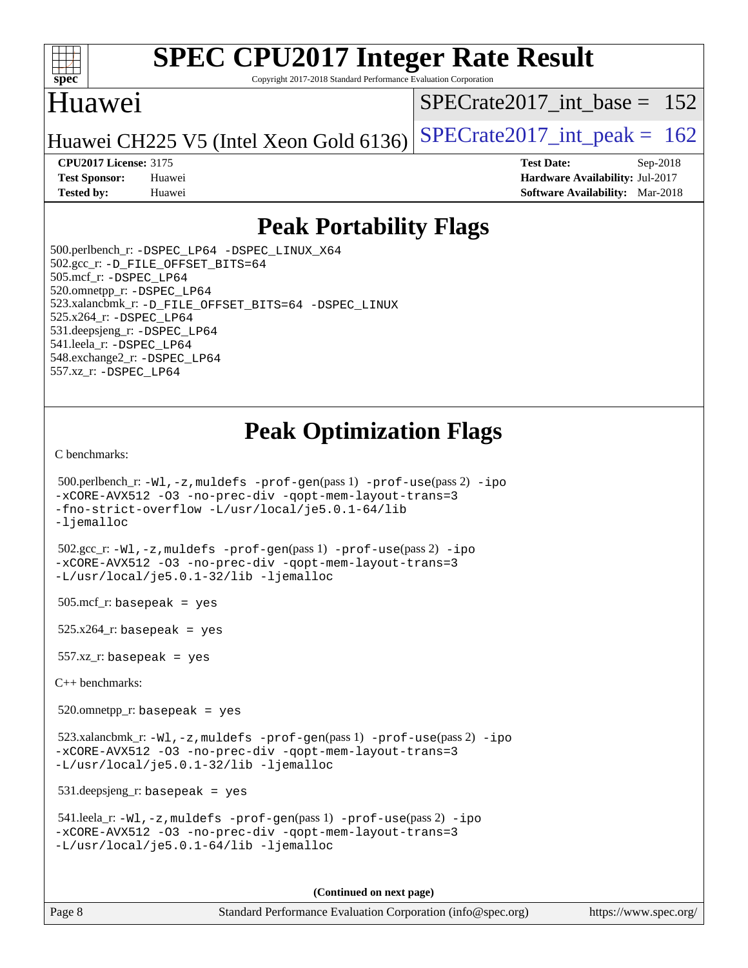

Copyright 2017-2018 Standard Performance Evaluation Corporation

# Huawei

[SPECrate2017\\_int\\_base =](http://www.spec.org/auto/cpu2017/Docs/result-fields.html#SPECrate2017intbase) 152

Huawei CH225 V5 (Intel Xeon Gold 6136) SPECrate  $2017$ \_int\_peak = 162

**[Tested by:](http://www.spec.org/auto/cpu2017/Docs/result-fields.html#Testedby)** Huawei **[Software Availability:](http://www.spec.org/auto/cpu2017/Docs/result-fields.html#SoftwareAvailability)** Mar-2018

**[CPU2017 License:](http://www.spec.org/auto/cpu2017/Docs/result-fields.html#CPU2017License)** 3175 **[Test Date:](http://www.spec.org/auto/cpu2017/Docs/result-fields.html#TestDate)** Sep-2018 **[Test Sponsor:](http://www.spec.org/auto/cpu2017/Docs/result-fields.html#TestSponsor)** Huawei **[Hardware Availability:](http://www.spec.org/auto/cpu2017/Docs/result-fields.html#HardwareAvailability)** Jul-2017

# **[Peak Portability Flags](http://www.spec.org/auto/cpu2017/Docs/result-fields.html#PeakPortabilityFlags)**

 500.perlbench\_r: [-DSPEC\\_LP64](http://www.spec.org/cpu2017/results/res2018q4/cpu2017-20180920-08928.flags.html#b500.perlbench_r_peakPORTABILITY_DSPEC_LP64) [-DSPEC\\_LINUX\\_X64](http://www.spec.org/cpu2017/results/res2018q4/cpu2017-20180920-08928.flags.html#b500.perlbench_r_peakCPORTABILITY_DSPEC_LINUX_X64) 502.gcc\_r: [-D\\_FILE\\_OFFSET\\_BITS=64](http://www.spec.org/cpu2017/results/res2018q4/cpu2017-20180920-08928.flags.html#user_peakPORTABILITY502_gcc_r_file_offset_bits_64_5ae949a99b284ddf4e95728d47cb0843d81b2eb0e18bdfe74bbf0f61d0b064f4bda2f10ea5eb90e1dcab0e84dbc592acfc5018bc955c18609f94ddb8d550002c) 505.mcf\_r: [-DSPEC\\_LP64](http://www.spec.org/cpu2017/results/res2018q4/cpu2017-20180920-08928.flags.html#suite_peakPORTABILITY505_mcf_r_DSPEC_LP64) 520.omnetpp\_r: [-DSPEC\\_LP64](http://www.spec.org/cpu2017/results/res2018q4/cpu2017-20180920-08928.flags.html#suite_peakPORTABILITY520_omnetpp_r_DSPEC_LP64) 523.xalancbmk\_r: [-D\\_FILE\\_OFFSET\\_BITS=64](http://www.spec.org/cpu2017/results/res2018q4/cpu2017-20180920-08928.flags.html#user_peakPORTABILITY523_xalancbmk_r_file_offset_bits_64_5ae949a99b284ddf4e95728d47cb0843d81b2eb0e18bdfe74bbf0f61d0b064f4bda2f10ea5eb90e1dcab0e84dbc592acfc5018bc955c18609f94ddb8d550002c) [-DSPEC\\_LINUX](http://www.spec.org/cpu2017/results/res2018q4/cpu2017-20180920-08928.flags.html#b523.xalancbmk_r_peakCXXPORTABILITY_DSPEC_LINUX) 525.x264\_r: [-DSPEC\\_LP64](http://www.spec.org/cpu2017/results/res2018q4/cpu2017-20180920-08928.flags.html#suite_peakPORTABILITY525_x264_r_DSPEC_LP64) 531.deepsjeng\_r: [-DSPEC\\_LP64](http://www.spec.org/cpu2017/results/res2018q4/cpu2017-20180920-08928.flags.html#suite_peakPORTABILITY531_deepsjeng_r_DSPEC_LP64) 541.leela\_r: [-DSPEC\\_LP64](http://www.spec.org/cpu2017/results/res2018q4/cpu2017-20180920-08928.flags.html#suite_peakPORTABILITY541_leela_r_DSPEC_LP64) 548.exchange2\_r: [-DSPEC\\_LP64](http://www.spec.org/cpu2017/results/res2018q4/cpu2017-20180920-08928.flags.html#suite_peakPORTABILITY548_exchange2_r_DSPEC_LP64) 557.xz\_r: [-DSPEC\\_LP64](http://www.spec.org/cpu2017/results/res2018q4/cpu2017-20180920-08928.flags.html#suite_peakPORTABILITY557_xz_r_DSPEC_LP64)

# **[Peak Optimization Flags](http://www.spec.org/auto/cpu2017/Docs/result-fields.html#PeakOptimizationFlags)**

[C benchmarks](http://www.spec.org/auto/cpu2017/Docs/result-fields.html#Cbenchmarks):

```
 500.perlbench_r: -Wl,-z,muldefs -prof-gen(pass 1) -prof-use(pass 2) -ipo
-xCORE-AVX512 -O3 -no-prec-div -qopt-mem-layout-trans=3
-fno-strict-overflow -L/usr/local/je5.0.1-64/lib
-ljemalloc
 502.gcc_r: -Wl,-z,muldefs -prof-gen(pass 1) -prof-use(pass 2) -ipo
-xCORE-AVX512 -O3 -no-prec-div -qopt-mem-layout-trans=3
-L/usr/local/je5.0.1-32/lib -ljemalloc
505.\text{mcf}_r: basepeak = yes
525.x264_r: basepeak = yes
557.xz_r: basepeak = yes
C++ benchmarks: 
 520.omnetpp_r: basepeak = yes
 523.xalancbmk_r: -Wl,-z,muldefs -prof-gen(pass 1) -prof-use(pass 2) -ipo
-xCORE-AVX512 -O3 -no-prec-div -qopt-mem-layout-trans=3
-L/usr/local/je5.0.1-32/lib -ljemalloc
 531.deepsjeng_r: basepeak = yes
 541.leela_r: -Wl,-z,muldefs -prof-gen(pass 1) -prof-use(pass 2) -ipo
-xCORE-AVX512 -O3 -no-prec-div -qopt-mem-layout-trans=3
-L/usr/local/je5.0.1-64/lib -ljemalloc
                                       (Continued on next page)
```
Page 8 Standard Performance Evaluation Corporation [\(info@spec.org\)](mailto:info@spec.org) <https://www.spec.org/>